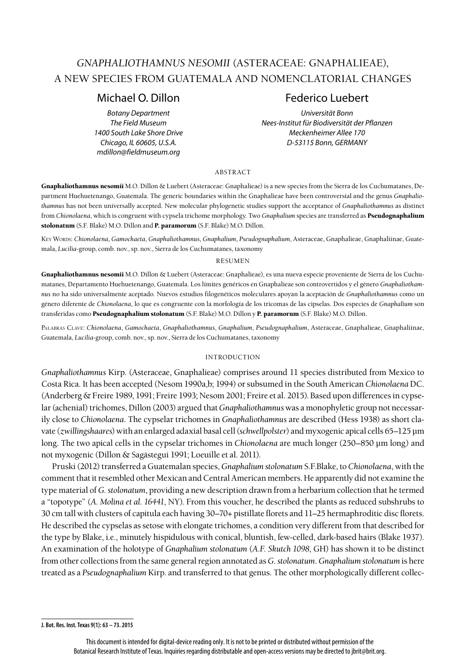# *GNAPHALIOTHAMNUS NESOMII* (ASTERACEAE: GNAPHALIEAE), A NEW SPECIES FROM GUATEMALA AND NOMENCLATORIAL CHANGES

*mdillon@fieldmuseum.org*

# Michael O. Dillon **Federico** Luebert

*Botany Department Universität Bonn The Field Museum Nees-Institut für Biodiversität der Pflanzen 1400 South Lake Shore Drive Meckenheimer Allee 170 Chicago, IL 60605, U.S.A. D-53115 Bonn, GERMANY*

#### abstract

Gnaphaliothamnus nesomii M.O. Dillon & Luebert (Asteraceae: Gnaphalieae) is a new species from the Sierra de los Cuchumatanes, Department Huehuetenango, Guatemala. The generic boundaries within the Gnaphalieae have been controversial and the genus *Gnaphaliothamnus* has not been universally accepted. New molecular phylogenetic studies support the acceptance of *Gnaphaliothamnus* as distinct from *Chionolaena*, which is congruent with cypsela trichome morphology*.* Two *Gnaphalium* species are transferred as Pseudognaphalium stolonatum (S.F. Blake) M.O. Dillon and P. paramorum (S.F. Blake) M.O. Dillon.

Key Words: *Chionolaena*, *Gamochaeta*, *Gnaphaliothamnus*, *Gnaphalium*, *Pseudognaphalium*, Asteraceae, Gnaphalieae, Gnaphaliinae, Guatemala, *Lucilia*-group, comb. nov., sp. nov., Sierra de los Cuchumatanes, taxonomy

#### **RESUMEN**

Gnaphaliothamnus nesomii M.O. Dillon & Luebert (Asteraceae: Gnaphalieae), es una nueva especie proveniente de Sierra de los Cuchumatanes, Departamento Huehuetenango, Guatemala. Los límites genéricos en Gnaphalieae son controvertidos y el género *Gnaphaliothamnus* no ha sido universalmente aceptado. Nuevos estudios filogenéticos moleculares apoyan la aceptación de *Gnaphaliothamnus* como un género diferente de *Chionolaena*, lo que es congruente con la morfología de los tricomas de las cipselas. Dos especies de *Gnaphalium* son transferidas como Pseudognaphalium stolonatum (S.F. Blake) M.O. Dillon y P. paramorum (S.F. Blake) M.O. Dillon.

Palabras Clave: *Chionolaena*, *Gamochaeta*, *Gnaphaliothamnus*, *Gnaphalium*, *Pseudognaphalium*, Asteraceae, Gnaphalieae, Gnaphaliinae, Guatemala, *Lucilia*-group, comb. nov., sp. nov., Sierra de los Cuchumatanes, taxonomy

# introduction

*Gnaphaliothamnus* Kirp. (Asteraceae, Gnaphalieae) comprises around 11 species distributed from Mexico to Costa Rica. It has been accepted (Nesom 1990a,b; 1994) or subsumed in the South American *Chionolaena* DC. (Anderberg & Freire 1989, 1991; Freire 1993; Nesom 2001; Freire et al. 2015). Based upon differences in cypselar (achenial) trichomes, Dillon (2003) argued that *Gnaphaliothamnus* was a monophyletic group not necessarily close to *Chionolaena*. The cypselar trichomes in *Gnaphaliothamnus* are described (Hess 1938) as short clavate (*zwillingshaares*) with an enlarged adaxial basal cell (*schwellpolster*) and myxogenic apical cells 65–125 µm long. The two apical cells in the cypselar trichomes in *Chionolaena* are much longer (250–850 µm long) and not myxogenic (Dillon & Sagástegui 1991; Loeuille et al. 2011).

Pruski (2012) transferred a Guatemalan species, *Gnaphalium stolonatum* S.F.Blake, to *Chionolaena*, with the comment that it resembled other Mexican and Central American members. He apparently did not examine the type material of *G. stolonatum*, providing a new description drawn from a herbarium collection that he termed a "topotype" (*A. Molina et al. 16441*, NY). From this voucher, he described the plants as reduced subshrubs to 30 cm tall with clusters of capitula each having 30–70+ pistillate florets and 11–25 hermaphroditic disc florets. He described the cypselas as setose with elongate trichomes, a condition very different from that described for the type by Blake, i.e., minutely hispidulous with conical, bluntish, few-celled, dark-based hairs (Blake 1937). An examination of the holotype of *Gnaphalium stolonatum* (*A.F. Skutch 1098*, GH) has shown it to be distinct from other collections from the same general region annotated as *G. stolonatum*. *Gnaphalium stolonatum* is here treated as a *Pseudognaphalium* Kirp. and transferred to that genus. The other morphologically different collec-

**J. Bot. Res. Inst. Texas 9(1): 63 – 73. 2015**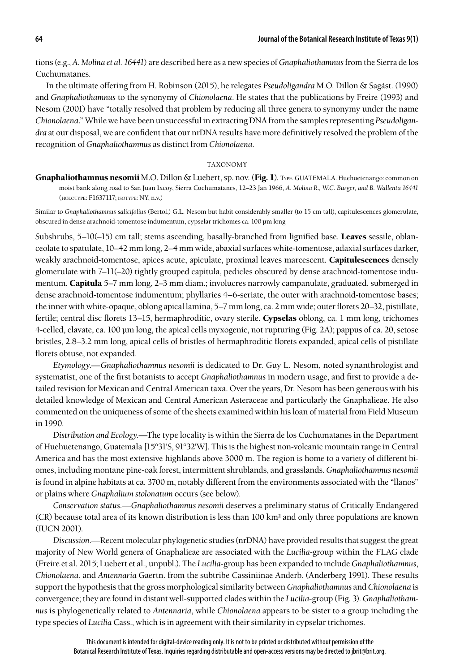tions (e.g., *A. Molina et al. 16441*) are described here as a new species of *Gnaphaliothamnus* from the Sierra de los Cuchumatanes.

In the ultimate offering from H. Robinson (2015), he relegates *Pseudoligandra* M.O. Dillon & Sagást. (1990) and *Gnaphaliothamnus* to the synonymy of *Chionolaena*. He states that the publications by Freire (1993) and Nesom (2001) have "totally resolved that problem by reducing all three genera to synonymy under the name *Chionolaena*." While we have been unsuccessful in extracting DNA from the samples representing *Pseudoligandra* at our disposal, we are confident that our nrDNA results have more definitively resolved the problem of the recognition of *Gnaphaliothamnus* as distinct from *Chionolaena*.

## taxonomy

Gnaphaliothamnus nesomii M.O. Dillon & Luebert, sp. nov. (Fig. 1). Type. GUATEMALA. Huehuetenango: common on moist bank along road to San Juan Ixcoy, Sierra Cuchumatanes, 12–23 Jan 1966, *A. Molina R., W.C. Burger, and B. Wallenta 16441* (holotype: F1637117; isotype: NY, n.v.)

Similar to *Gnaphaliothamnus salicifolius* (Bertol.) G.L. Nesom but habit considerably smaller (to 15 cm tall), capitulescences glomerulate, obscured in dense arachnoid-tomentose indumentum, cypselar trichomes ca. 100 µm long

Subshrubs,  $5-10(-15)$  cm tall; stems ascending, basally-branched from lignified base. Leaves sessile, oblanceolate to spatulate, 10–42 mm long, 2–4 mm wide, abaxial surfaces white-tomentose, adaxial surfaces darker, weakly arachnoid-tomentose, apices acute, apiculate, proximal leaves marcescent. Capitulescences densely glomerulate with 7–11(–20) tightly grouped capitula, pedicles obscured by dense arachnoid-tomentose indumentum. Capitula 5–7 mm long, 2–3 mm diam.; involucres narrowly campanulate, graduated, submerged in dense arachnoid-tomentose indumentum; phyllaries 4–6-seriate, the outer with arachnoid-tomentose bases; the inner with white-opaque, oblong apical lamina, 5–7 mm long, ca. 2 mm wide; outer florets 20–32, pistillate, fertile; central disc florets 13–15, hermaphroditic, ovary sterile. Cypselas oblong, ca. 1 mm long, trichomes 4-celled, clavate, ca. 100 µm long, the apical cells myxogenic, not rupturing (Fig. 2A); pappus of ca. 20, setose bristles, 2.8–3.2 mm long, apical cells of bristles of hermaphroditic florets expanded, apical cells of pistillate florets obtuse, not expanded.

*Etymology*.—*Gnaphaliothamnus nesomii* is dedicated to Dr. Guy L. Nesom, noted synanthrologist and systematist, one of the first botanists to accept *Gnaphaliothamnus* in modern usage, and first to provide a detailed revision for Mexican and Central American taxa. Over the years, Dr. Nesom has been generous with his detailed knowledge of Mexican and Central American Asteraceae and particularly the Gnaphalieae. He also commented on the uniqueness of some of the sheets examined within his loan of material from Field Museum in 1990.

*Distribution and Ecology*.—The type locality is within the Sierra de los Cuchumatanes in the Department of Huehuetenango, Guatemala [15°31'S, 91°32'W]. This is the highest non-volcanic mountain range in Central America and has the most extensive highlands above 3000 m. The region is home to a variety of different biomes, including montane pine-oak forest, intermittent shrublands, and grasslands. *Gnaphaliothamnus nesomii* is found in alpine habitats at ca. 3700 m, notably different from the environments associated with the "llanos" or plains where *Gnaphalium stolonatum* occurs (see below).

*Conservation status*.—*Gnaphaliothamnus nesomii* deserves a preliminary status of Critically Endangered (CR) because total area of its known distribution is less than 100 km² and only three populations are known (IUCN 2001).

*Discussion*.—Recent molecular phylogenetic studies (nrDNA) have provided results that suggest the great majority of New World genera of Gnaphalieae are associated with the *Lucilia*-group within the FLAG clade (Freire et al. 2015; Luebert et al., unpubl.). The *Lucilia*-group has been expanded to include *Gnaphaliothamnus*, *Chionolaena*, and *Antennaria* Gaertn. from the subtribe Cassiniinae Anderb. (Anderberg 1991). These results support the hypothesis that the gross morphological similarity between *Gnaphaliothamnus* and *Chionolaena* is convergence; they are found in distant well-supported clades within the *Lucilia*-group (Fig. 3). *Gnaphaliothamnus* is phylogenetically related to *Antennaria*, while *Chionolaena* appears to be sister to a group including the type species of *Lucilia* Cass., which is in agreement with their similarity in cypselar trichomes.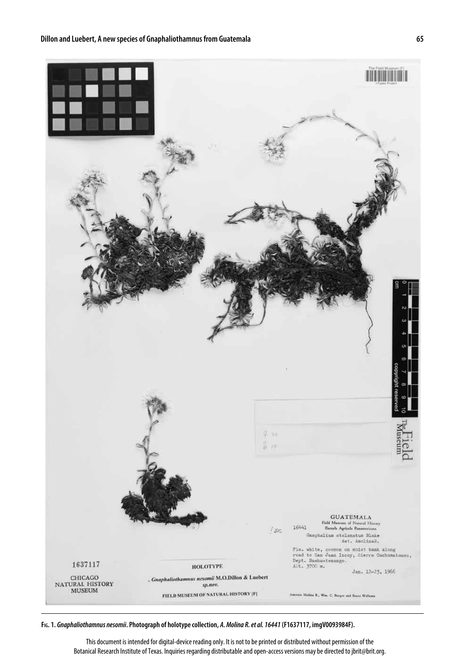

**Fig. 1.** *Gnaphaliothamnus nesomii***. Photograph of holotype collection,** *A. Molina R. et al. 16441* **(F1637117, imgV0093984F).**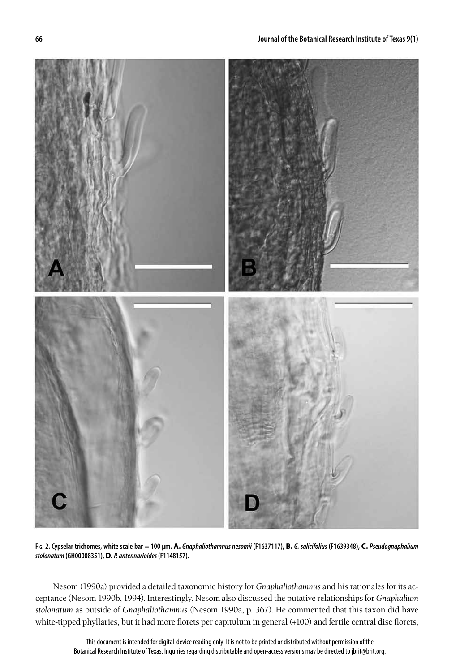

Fig. 2. Cypselar trichomes, white scale bar = 100 µm. A. Gnaphaliothamnus nesomii (F1637117), B. G. salicifolius (F1639348), C. Pseudognaphalium *stolonatum* **(GH00008351), D.** *P. antennarioides* **(F1148157).**

Nesom (1990a) provided a detailed taxonomic history for *Gnaphaliothamnus* and his rationales for its acceptance (Nesom 1990b, 1994). Interestingly, Nesom also discussed the putative relationships for *Gnaphalium stolonatum* as outside of *Gnaphaliothamnus* (Nesom 1990a, p. 367). He commented that this taxon did have white-tipped phyllaries, but it had more florets per capitulum in general (+100) and fertile central disc florets,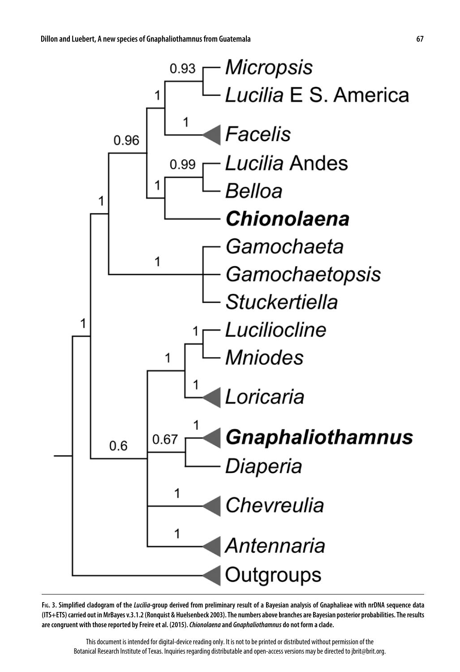

**Fig. 3. Simplified cladogram of the** *Lucilia***-group derived from preliminary result of a Bayesian analysis of Gnaphalieae with nrDNA sequence data (ITS+ETS) carried out in MrBayes v.3.1.2 (Ronquist & Huelsenbeck 2003). The numbers above branches are Bayesian posterior probabilities. The results are congruent with those reported by Freire et al. (2015).** *Chionolaena* **and** *Gnaphaliothamnus* **do not form a clade.**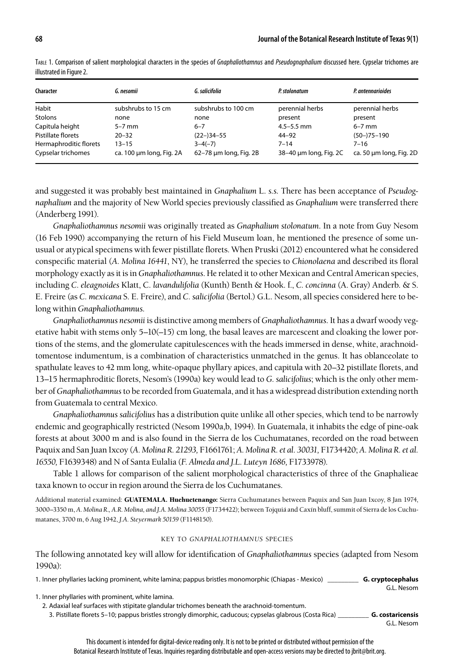| Character              | G. nesomii               | G. salicifolia         | P. stolonatum          | P. antennarioides       |
|------------------------|--------------------------|------------------------|------------------------|-------------------------|
| Habit                  | subshrubs to 15 cm       | subshrubs to 100 cm    | perennial herbs        | perennial herbs         |
| <b>Stolons</b>         | none                     | none                   | present                | present                 |
| Capitula height        | $5-7$ mm                 | $6 - 7$                | $4.5 - 5.5$ mm         | $6-7$ mm                |
| Pistillate florets     | $20 - 32$                | $(22-)34-55$           | $44 - 92$              | $(50-)75-190$           |
| Hermaphroditic florets | $13 - 15$                | $3-4(-7)$              | $7 - 14$               | $7 - 16$                |
| Cypselar trichomes     | ca. 100 µm long, Fig. 2A | 62-78 um long, Fig. 2B | 38-40 µm long, Fig. 2C | ca. 50 µm long, Fig. 2D |

Table 1. Comparison of salient morphological characters in the species of *Gnaphaliothamnus* and *Pseudognaphalium* discussed here. Cypselar trichomes are illustrated in Figure 2.

and suggested it was probably best maintained in *Gnaphalium* L. *s.s*. There has been acceptance of *Pseudognaphalium* and the majority of New World species previously classified as *Gnaphalium* were transferred there (Anderberg 1991).

*Gnaphaliothamnus nesomii* was originally treated as *Gnaphalium stolonatum*. In a note from Guy Nesom (16 Feb 1990) accompanying the return of his Field Museum loan, he mentioned the presence of some unusual or atypical specimens with fewer pistillate florets. When Pruski (2012) encountered what he considered conspecific material (*A. Molina 16441*, NY), he transferred the species to *Chionolaena* and described its floral morphology exactly as it is in *Gnaphaliothamnus*. He related it to other Mexican and Central American species, including *C. eleagnoides* Klatt, C. *lavandulifolia* (Kunth) Benth & Hook. f., *C. concinna* (A. Gray) Anderb. & S. E. Freire (as *C. mexicana* S. E. Freire), and *C. salicifolia* (Bertol.) G.L. Nesom, all species considered here to belong within *Gnaphaliothamnus*.

*Gnaphaliothamnus nesomii* is distinctive among members of *Gnaphaliothamnus*. It has a dwarf woody vegetative habit with stems only 5–10(–15) cm long, the basal leaves are marcescent and cloaking the lower portions of the stems, and the glomerulate capitulescences with the heads immersed in dense, white, arachnoidtomentose indumentum, is a combination of characteristics unmatched in the genus. It has oblanceolate to spathulate leaves to 42 mm long, white-opaque phyllary apices, and capitula with 20–32 pistillate florets, and 13–15 hermaphroditic florets, Nesom's (1990a) key would lead to *G. salicifolius*; which is the only other member of *Gnaphaliothamnus* to be recorded from Guatemala, and it has a widespread distribution extending north from Guatemala to central Mexico.

*Gnaphaliothamnus salicifolius* has a distribution quite unlike all other species, which tend to be narrowly endemic and geographically restricted (Nesom 1990a,b, 1994). In Guatemala, it inhabits the edge of pine-oak forests at about 3000 m and is also found in the Sierra de los Cuchumatanes, recorded on the road between Paquix and San Juan Ixcoy (*A. Molina R. 21293,* F1661761; *A. Molina R. et al. 30031,* F1734420; *A. Molina R. et al. 16550,* F1639348) and N of Santa Eulalia (*F. Almeda and J.L. Luteyn 1686,* F1733978).

Table 1 allows for comparison of the salient morphological characteristics of three of the Gnaphalieae taxa known to occur in region around the Sierra de los Cuchumatanes.

Additional material examined: GUATEMALA. Huehuetenango: Sierra Cuchumatanes between Paquix and San Juan Ixcoy, 8 Jan 1974, 3000–3350 m, *A. Molina R., A.R. Molina, and J.A. Molina 30055* (F1734422); between Tojquiá and Caxín bluff, summit of Sierra de los Cuchumatanes, 3700 m, 6 Aug 1942, *J.A. Steyermark 50159* (F1148150).

# key to *gnaphaliothamnus* species

The following annotated key will allow for identification of *Gnaphaliothamnus* species (adapted from Nesom 1990a):

| 1. Inner phyllaries lacking prominent, white lamina; pappus bristles monomorphic (Chiapas - Mexico)      | G. cryptocephalus       |
|----------------------------------------------------------------------------------------------------------|-------------------------|
|                                                                                                          | G.L. Nesom              |
| 1. Inner phyllaries with prominent, white lamina.                                                        |                         |
| 2. Adaxial leaf surfaces with stipitate glandular trichomes beneath the arachnoid-tomentum.              |                         |
| 3. Pistillate florets 5–10; pappus bristles strongly dimorphic, caducous; cypselas glabrous (Costa Rica) | <b>G.</b> costaricensis |

G.L. Nesom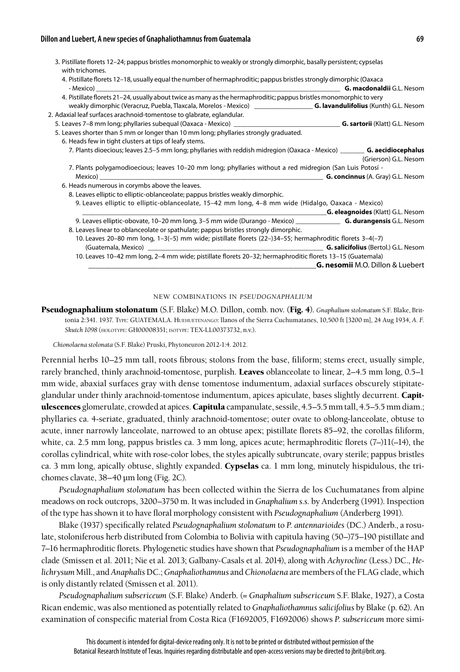### **Dillon and Luebert, A new species of Gnaphaliothamnus from Guatemala 69**

| 3. Pistillate florets 12-24; pappus bristles monomorphic to weakly or strongly dimorphic, basally persistent; cypselas<br>with trichomes. |                                          |
|-------------------------------------------------------------------------------------------------------------------------------------------|------------------------------------------|
| 4. Pistillate florets 12-18, usually equal the number of hermaphroditic; pappus bristles strongly dimorphic (Oaxaca                       |                                          |
|                                                                                                                                           |                                          |
| 4. Pistillate florets 21-24, usually about twice as many as the hermaphroditic; pappus bristles monomorphic to very                       |                                          |
|                                                                                                                                           |                                          |
| 2. Adaxial leaf surfaces arachnoid-tomentose to glabrate, eglandular.                                                                     |                                          |
|                                                                                                                                           |                                          |
| 5. Leaves shorter than 5 mm or longer than 10 mm long; phyllaries strongly graduated.                                                     |                                          |
| 6. Heads few in tight clusters at tips of leafy stems.                                                                                    |                                          |
| 7. Plants dioecious; leaves 2.5–5 mm long; phyllaries with reddish midregion (Oaxaca - Mexico) ________ G. aecidiocephalus                |                                          |
|                                                                                                                                           | (Grierson) G.L. Nesom                    |
| 7. Plants polygamodioecious; leaves 10-20 mm long; phyllaries without a red midregion (San Luis Potosí -                                  |                                          |
|                                                                                                                                           |                                          |
| 6. Heads numerous in corymbs above the leaves.                                                                                            |                                          |
| 8. Leaves elliptic to elliptic-oblanceolate; pappus bristles weakly dimorphic.                                                            |                                          |
| 9. Leaves elliptic to elliptic-oblanceolate, 15-42 mm long, 4-8 mm wide (Hidalgo, Oaxaca - Mexico)                                        |                                          |
|                                                                                                                                           | <b>G. eleagnoides</b> (Klatt) G.L. Nesom |
| 9. Leaves elliptic-obovate, 10-20 mm long, 3-5 mm wide (Durango - Mexico) <b>G. durangensis G.L.</b> Nesom                                |                                          |
| 8. Leaves linear to oblanceolate or spathulate; pappus bristles strongly dimorphic.                                                       |                                          |
| 10. Leaves 20–80 mm long, 1–3(–5) mm wide; pistillate florets (22–)34–55; hermaphroditic florets 3–4(–7)                                  |                                          |
|                                                                                                                                           |                                          |
|                                                                                                                                           |                                          |
| 10. Leaves 10-42 mm long, 2-4 mm wide; pistillate florets 20-32; hermaphroditic florets 13-15 (Guatemala)                                 |                                          |
|                                                                                                                                           | <b>G. nesomii</b> M.O. Dillon & Luebert  |

#### new combinations in *pseudognaphalium*

Pseudognaphalium stolonatum (S.F. Blake) M.O. Dillon, comb. nov. (Fig. 4). *Gnaphalium stolonatum* S.F. Blake, Brittonia 2:341. 1937. Type: GUATEMALA. Huehuetenango: llanos of the Sierra Cuchumatanes, 10,500 ft [3200 m], 24 Aug 1934, *A. F. Skutch 1098* (holotype: GH00008351; isotype: TEX-LL00373732, n.v.).

*Chionolaena stolonata* (S.F. Blake) Pruski, Phytoneuron 2012-1:4. 2012.

Perennial herbs 10–25 mm tall, roots fibrous; stolons from the base, filiform; stems erect, usually simple, rarely branched, thinly arachnoid-tomentose, purplish. Leaves oblanceolate to linear, 2–4.5 mm long, 0.5–1 mm wide, abaxial surfaces gray with dense tomentose indumentum, adaxial surfaces obscurely stipitateglandular under thinly arachnoid-tomentose indumentum, apices apiculate, bases slightly decurrent. Capitulescences glomerulate, crowded at apices. Capitula campanulate, sessile, 4.5–5.5 mm tall, 4.5–5.5 mm diam.; phyllaries ca. 4-seriate, graduated, thinly arachnoid-tomentose; outer ovate to oblong-lanceolate, obtuse to acute, inner narrowly lanceolate, narrowed to an obtuse apex; pistillate florets 85–92, the corollas filiform, white, ca. 2.5 mm long, pappus bristles ca. 3 mm long, apices acute; hermaphroditic florets (7–)11(–14), the corollas cylindrical, white with rose-color lobes, the styles apically subtruncate, ovary sterile; pappus bristles ca. 3 mm long, apically obtuse, slightly expanded. Cypselas ca. 1 mm long, minutely hispidulous, the trichomes clavate, 38–40 µm long (Fig. 2C).

*Pseudognaphalium stolonatum* has been collected within the Sierra de los Cuchumatanes from alpine meadows on rock outcrops, 3200–3750 m. It was included in *Gnaphalium s.s.* by Anderberg (1991). Inspection of the type has shown it to have floral morphology consistent with *Pseudognaphalium* (Anderberg 1991).

Blake (1937) specifically related *Pseudognaphalium stolonatum* to *P. antennarioides* (DC.) Anderb., a rosulate, stoloniferous herb distributed from Colombia to Bolivia with capitula having (50–)75–190 pistillate and 7–16 hermaphroditic florets. Phylogenetic studies have shown that *Pseudognaphalium* is a member of the HAP clade (Smissen et al. 2011; Nie et al. 2013; Galbany-Casals et al. 2014), along with *Achyrocline* (Less.) DC., *Helichrysum* Mill., and *Anaphalis* DC.; *Gnaphaliothamnus* and *Chionolaena* are members of the FLAG clade, which is only distantly related (Smissen et al. 2011).

*Pseudognaphalium subsericeum* (S.F. Blake) Anderb. (= *Gnaphalium subsericeum* S.F. Blake, 1927), a Costa Rican endemic, was also mentioned as potentially related to *Gnaphaliothamnus salicifolius* by Blake (p. 62). An examination of conspecific material from Costa Rica (F1692005, F1692006) shows *P. subsericeum* more simi-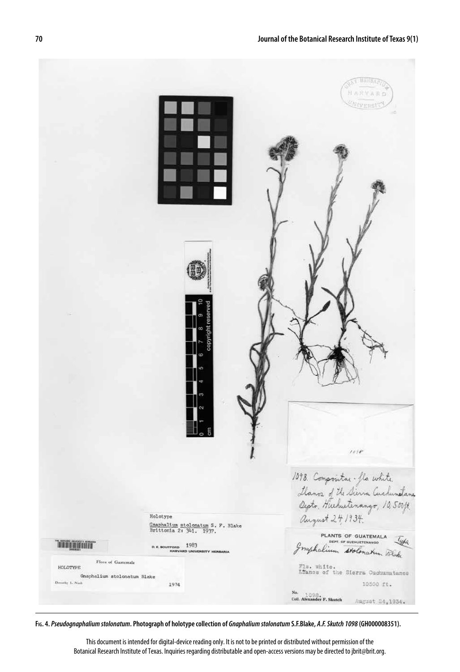

**Fig. 4.** *Pseudognaphalium stolonatum***. Photograph of holotype collection of** *Gnaphalium stolonatum* **S.F.Blake,** *A.F. Skutch 1098* **(GH000008351).**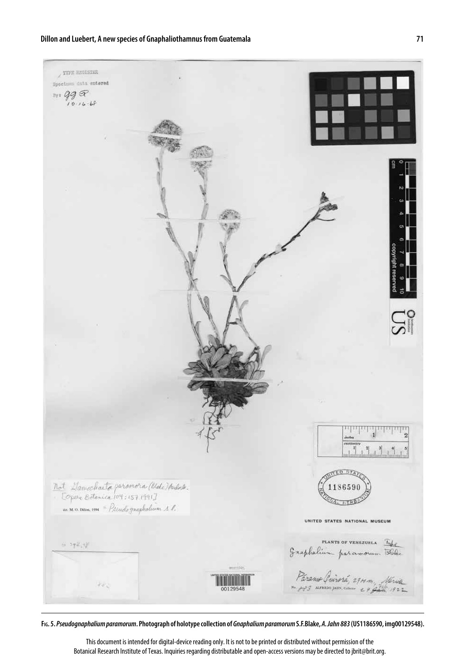**Dillon and Luebert, A new species of Gnaphaliothamnus from Guatemala 71**

 $\chi$  TYPE REGISTER Specines data entered  $\frac{99}{6006}$  $\tilde{\Omega}$ Not Damachaeta paramora (bloke) Audria<br>|- Topere Botenica 104:157 1991]<br>|- a M.O. Dava. 1994 = Pitudographolum & l. UNITED STATES NATIONAL MUSEUM PLANTS OF VENEZUELA Type  $6 - 592$  (1) Paramo Quirorá, 2914 m., Merida ker 00129548

**Fig. 5.** *Pseudognaphalium paramorum***. Photograph of holotype collection of** *Gnaphalium paramorum* **S.F.Blake,** *A. Jahn 883* **(US1186590, img00129548).**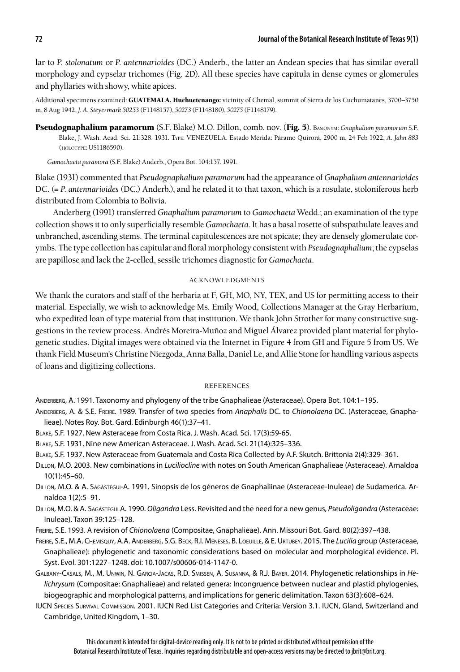lar to *P. stolonatum* or *P. antennarioides* (DC.) Anderb., the latter an Andean species that has similar overall morphology and cypselar trichomes (Fig. 2D). All these species have capitula in dense cymes or glomerules and phyllaries with showy, white apices.

Additional specimens examined: GUATEMALA. Huehuetenango: vicinity of Chemal, summit of Sierra de los Cuchumatanes, 3700-3750 m, 8 Aug 1942, *J. A. Steyermark 50253* (F1148157), *50273* (F1148180), *50275* (F1148179).

Pseudognaphalium paramorum (S.F. Blake) M.O. Dillon, comb. nov. (Fig. 5). Basionym: *Gnaphalium paramorum* S.F. Blake, J. Wash. Acad. Sci. 21:328. 1931. Type: VENEZUELA. Estado Mérida: Páramo Quirorá, 2900 m, 24 Feb 1922, *A. Jahn 883* (holotype: US1186590).

*Gamochaeta paramora* (S.F. Blake) Anderb., Opera Bot. 104:157. 1991.

Blake (1931) commented that *Pseudognaphalium paramorum* had the appearance of *Gnaphalium antennarioides*  DC. (= *P. antennarioides* (DC.) Anderb.), and he related it to that taxon, which is a rosulate, stoloniferous herb distributed from Colombia to Bolivia.

Anderberg (1991) transferred *Gnaphalium paramorum* to *Gamochaeta* Wedd.; an examination of the type collection shows it to only superficially resemble *Gamochaeta.* It has a basal rosette of subspathulate leaves and unbranched, ascending stems. The terminal capitulescences are not spicate; they are densely glomerulate corymbs. The type collection has capitular and floral morphology consistent with *Pseudognaphalium*; the cypselas are papillose and lack the 2-celled, sessile trichomes diagnostic for *Gamochaeta*.

## acknowledgments

We thank the curators and staff of the herbaria at F, GH, MO, NY, TEX, and US for permitting access to their material. Especially, we wish to acknowledge Ms. Emily Wood, Collections Manager at the Gray Herbarium, who expedited loan of type material from that institution. We thank John Strother for many constructive suggestions in the review process. Andrés Moreira-Muñoz and Miguel Álvarez provided plant material for phylogenetic studies. Digital images were obtained via the Internet in Figure 4 from GH and Figure 5 from US. We thank Field Museum's Christine Niezgoda, Anna Balla, Daniel Le, and Allie Stone for handling various aspects of loans and digitizing collections.

# **REFERENCES**

Anderberg, A. 1991. Taxonomy and phylogeny of the tribe Gnaphalieae (Asteraceae). Opera Bot. 104:1–195.

Anderberg, A. & S.E. Freire. 1989. Transfer of two species from *Anaphalis* DC. to *Chionolaena* DC. (Asteraceae, Gnaphalieae). Notes Roy. Bot. Gard. Edinburgh 46(1):37–41.

Blake, S.F. 1927. New Asteraceae from Costa Rica. J. Wash. Acad. Sci. 17(3):59-65.

Blake, S.F. 1931. Nine new American Asteraceae. J. Wash. Acad. Sci. 21(14):325–336.

- Blake, S.F. 1937. New Asteraceae from Guatemala and Costa Rica Collected by A.F. Skutch. Brittonia 2(4):329–361.
- Dillon, M.O. 2003. New combinations in *Luciliocline* with notes on South American Gnaphalieae (Asteraceae). Arnaldoa 10(1):45–60.
- Dillon, M.O. & A. Sagástegui-A. 1991. Sinopsis de los géneros de Gnaphaliinae (Asteraceae-Inuleae) de Sudamerica. Arnaldoa 1(2):5–91.
- Dillon, M.O. & A. Sagástegui A. 1990. *Oligandra* Less. Revisited and the need for a new genus, *Pseudoligandra* (Asteraceae: Inuleae). Taxon 39:125–128.

Freire, S.E. 1993. A revision of *Chionolaena* (Compositae, Gnaphalieae). Ann. Missouri Bot. Gard. 80(2):397–438.

- Freire, S.E., M.A. Chemisquy, A.A. Anderberg, S.G. Beck, R.I. Meneses, B. Loeuille, & E. Urtubey. 2015. The *Lucilia* group (Asteraceae, Gnaphalieae): phylogenetic and taxonomic considerations based on molecular and morphological evidence. Pl. Syst. Evol. 301:1227–1248. doi: 10.1007/s00606-014-1147-0.
- Galbany-Casals, M., M. Unwin, N. Garcia-Jacas, R.D. Smissen, A. Susanna, & R.J. Bayer. 2014. Phylogenetic relationships in *Helichrysum* (Compositae: Gnaphalieae) and related genera: Incongruence between nuclear and plastid phylogenies, biogeographic and morphological patterns, and implications for generic delimitation. Taxon 63(3):608–624.
- IUCN Species Survival Commission. 2001. IUCN Red List Categories and Criteria: Version 3.1. IUCN, Gland, Switzerland and Cambridge, United Kingdom, 1–30.